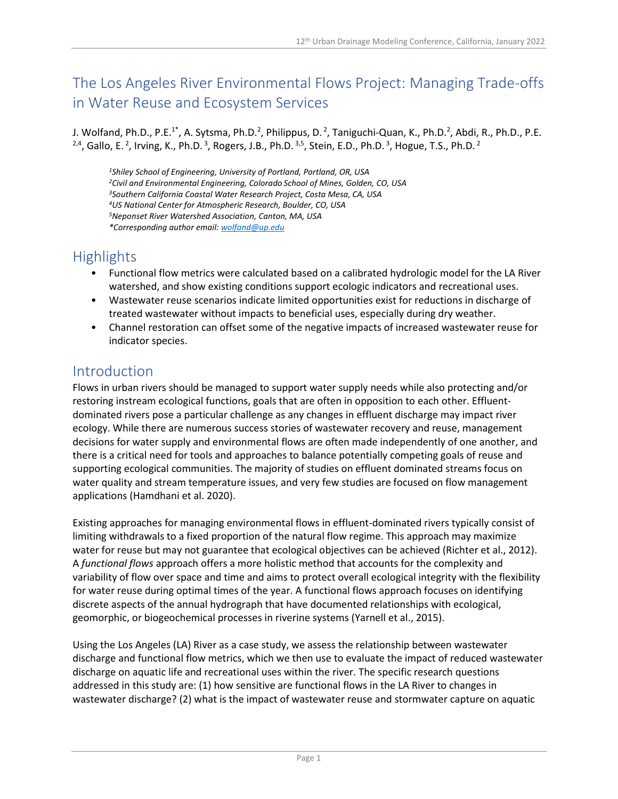# The Los Angeles River Environmental Flows Project: Managing Trade-offs in Water Reuse and Ecosystem Services

J. Wolfand, Ph.D., P.E.<sup>1\*</sup>, A. Sytsma, Ph.D.<sup>2</sup>, Philippus, D.<sup>2</sup>, Taniguchi-Quan, K., Ph.D.<sup>2</sup>, Abdi, R., Ph.D., P.E. <sup>2,4</sup>, Gallo, E.<sup>2</sup>, Irving, K., Ph.D.<sup>3</sup>, Rogers, J.B., Ph.D.<sup>3,5</sup>, Stein, E.D., Ph.D.<sup>3</sup>, Hogue, T.S., Ph.D.<sup>2</sup>

*Shiley School of Engineering, University of Portland, Portland, OR, USA Civil and Environmental Engineering, Colorado School of Mines, Golden, CO, USA Southern California Coastal Water Research Project, Costa Mesa, CA, USA US National Center for Atmospheric Research, Boulder, CO, USA Neponset River Watershed Association, Canton, MA, USA \*Corresponding author email: [wolfand@up.edu](mailto:wolfand@up.edu)*

## **Highlights**

- Functional flow metrics were calculated based on a calibrated hydrologic model for the LA River watershed, and show existing conditions support ecologic indicators and recreational uses.
- Wastewater reuse scenarios indicate limited opportunities exist for reductions in discharge of treated wastewater without impacts to beneficial uses, especially during dry weather.
- Channel restoration can offset some of the negative impacts of increased wastewater reuse for indicator species.

### Introduction

Flows in urban rivers should be managed to support water supply needs while also protecting and/or restoring instream ecological functions, goals that are often in opposition to each other. Effluentdominated rivers pose a particular challenge as any changes in effluent discharge may impact river ecology. While there are numerous success stories of wastewater recovery and reuse, management decisions for water supply and environmental flows are often made independently of one another, and there is a critical need for tools and approaches to balance potentially competing goals of reuse and supporting ecological communities. The majority of studies on effluent dominated streams focus on water quality and stream temperature issues, and very few studies are focused on flow management applications (Hamdhani et al. 2020).

Existing approaches for managing environmental flows in effluent-dominated rivers typically consist of limiting withdrawals to a fixed proportion of the natural flow regime. This approach may maximize water for reuse but may not guarantee that ecological objectives can be achieved (Richter et al., 2012). A *functional flows* approach offers a more holistic method that accounts for the complexity and variability of flow over space and time and aims to protect overall ecological integrity with the flexibility for water reuse during optimal times of the year. A functional flows approach focuses on identifying discrete aspects of the annual hydrograph that have documented relationships with ecological, geomorphic, or biogeochemical processes in riverine systems (Yarnell et al., 2015).

Using the Los Angeles (LA) River as a case study, we assess the relationship between wastewater discharge and functional flow metrics, which we then use to evaluate the impact of reduced wastewater discharge on aquatic life and recreational uses within the river. The specific research questions addressed in this study are: (1) how sensitive are functional flows in the LA River to changes in wastewater discharge? (2) what is the impact of wastewater reuse and stormwater capture on aquatic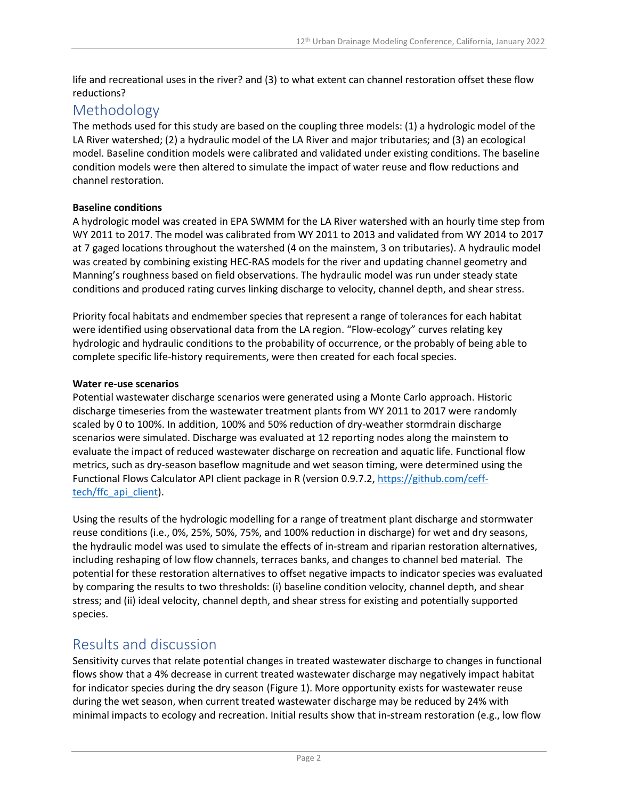life and recreational uses in the river? and (3) to what extent can channel restoration offset these flow reductions?

### Methodology

The methods used for this study are based on the coupling three models: (1) a hydrologic model of the LA River watershed; (2) a hydraulic model of the LA River and major tributaries; and (3) an ecological model. Baseline condition models were calibrated and validated under existing conditions. The baseline condition models were then altered to simulate the impact of water reuse and flow reductions and channel restoration.

#### **Baseline conditions**

A hydrologic model was created in EPA SWMM for the LA River watershed with an hourly time step from WY 2011 to 2017. The model was calibrated from WY 2011 to 2013 and validated from WY 2014 to 2017 at 7 gaged locations throughout the watershed (4 on the mainstem, 3 on tributaries). A hydraulic model was created by combining existing HEC-RAS models for the river and updating channel geometry and Manning's roughness based on field observations. The hydraulic model was run under steady state conditions and produced rating curves linking discharge to velocity, channel depth, and shear stress.

Priority focal habitats and endmember species that represent a range of tolerances for each habitat were identified using observational data from the LA region. "Flow-ecology" curves relating key hydrologic and hydraulic conditions to the probability of occurrence, or the probably of being able to complete specific life-history requirements, were then created for each focal species.

#### **Water re-use scenarios**

Potential wastewater discharge scenarios were generated using a Monte Carlo approach. Historic discharge timeseries from the wastewater treatment plants from WY 2011 to 2017 were randomly scaled by 0 to 100%. In addition, 100% and 50% reduction of dry-weather stormdrain discharge scenarios were simulated. Discharge was evaluated at 12 reporting nodes along the mainstem to evaluate the impact of reduced wastewater discharge on recreation and aquatic life. Functional flow metrics, such as dry-season baseflow magnitude and wet season timing, were determined using the Functional Flows Calculator API client package in R (version 0.9.7.2, [https://github.com/ceff](https://github.com/ceff-tech/ffc_api_client)tech/ffc api client).

Using the results of the hydrologic modelling for a range of treatment plant discharge and stormwater reuse conditions (i.e., 0%, 25%, 50%, 75%, and 100% reduction in discharge) for wet and dry seasons, the hydraulic model was used to simulate the effects of in-stream and riparian restoration alternatives, including reshaping of low flow channels, terraces banks, and changes to channel bed material. The potential for these restoration alternatives to offset negative impacts to indicator species was evaluated by comparing the results to two thresholds: (i) baseline condition velocity, channel depth, and shear stress; and (ii) ideal velocity, channel depth, and shear stress for existing and potentially supported species.

### Results and discussion

Sensitivity curves that relate potential changes in treated wastewater discharge to changes in functional flows show that a 4% decrease in current treated wastewater discharge may negatively impact habitat for indicator species during the dry season [\(Figure 1\)](#page-2-0). More opportunity exists for wastewater reuse during the wet season, when current treated wastewater discharge may be reduced by 24% with minimal impacts to ecology and recreation. Initial results show that in-stream restoration (e.g., low flow